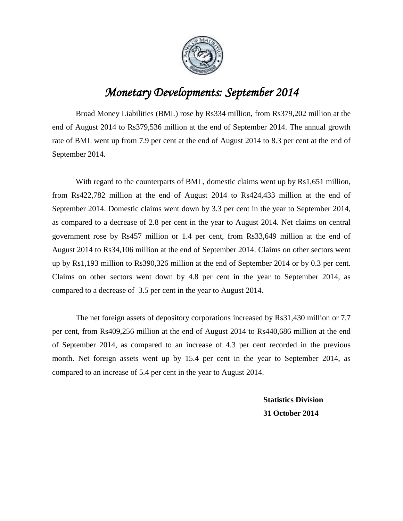

## *Monetary Developments: September 2014*

Broad Money Liabilities (BML) rose by Rs334 million, from Rs379,202 million at the end of August 2014 to Rs379,536 million at the end of September 2014. The annual growth rate of BML went up from 7.9 per cent at the end of August 2014 to 8.3 per cent at the end of September 2014.

With regard to the counterparts of BML, domestic claims went up by Rs1,651 million, from Rs422,782 million at the end of August 2014 to Rs424,433 million at the end of September 2014. Domestic claims went down by 3.3 per cent in the year to September 2014, as compared to a decrease of 2.8 per cent in the year to August 2014. Net claims on central government rose by Rs457 million or 1.4 per cent, from Rs33,649 million at the end of August 2014 to Rs34,106 million at the end of September 2014. Claims on other sectors went up by Rs1,193 million to Rs390,326 million at the end of September 2014 or by 0.3 per cent. Claims on other sectors went down by 4.8 per cent in the year to September 2014, as compared to a decrease of 3.5 per cent in the year to August 2014.

The net foreign assets of depository corporations increased by Rs31,430 million or 7.7 per cent, from Rs409,256 million at the end of August 2014 to Rs440,686 million at the end of September 2014, as compared to an increase of 4.3 per cent recorded in the previous month. Net foreign assets went up by 15.4 per cent in the year to September 2014, as compared to an increase of 5.4 per cent in the year to August 2014.

> **Statistics Division 31 October 2014**